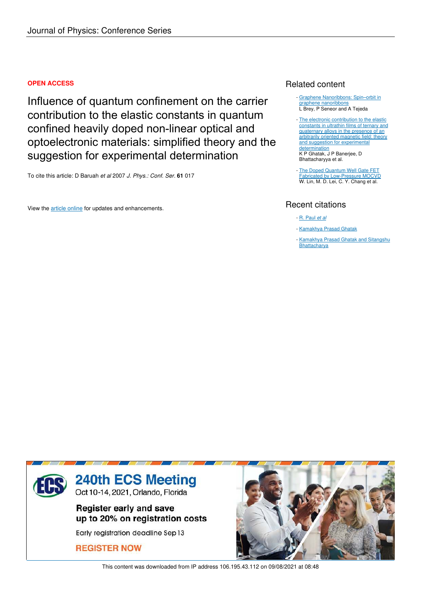## **OPEN ACCESS**

Influence of quantum confinement on the carrier contribution to the elastic constants in quantum confined heavily doped non-linear optical and optoelectronic materials: simplified theory and the suggestion for experimental determination

To cite this article: D Baruah *et al* 2007 *J. Phys.: Conf. Ser.* **61** 017

View the article online for updates and enhancements.

## Related content

- Graphene Nanoribbons: Spin-orbit in graphene nanoribbons L Brey, P Seneor and A Tejeda
- The electronic contribution to the elastic constants in ultrathin films of ternary and quaternary alloys in the presence of an arbitrarily oriented magnetic field: theory and suggestion for experimental determination K P Ghatak, J P Banerjee, D Bhattacharyya et al.
- The Doped Quantum Well Gate FET Fabricated by Low-Pressure MOCVD W. Lin, M. D. Lei, C. Y. Chang et al.

# Recent citations

- R. Paul *et al*
- Kamakhya Prasad Ghatak
- Kamakhya Prasad Ghatak and Sitangshu **Bhattacharya**



This content was downloaded from IP address 106.195.43.112 on 09/08/2021 at 08:48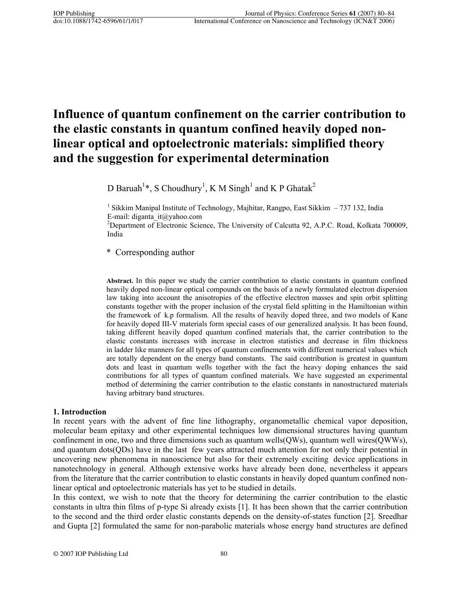# **Influence of quantum confinement on the carrier contribution to the elastic constants in quantum confined heavily doped nonlinear optical and optoelectronic materials: simplified theory and the suggestion for experimental determination**

D Baruah<sup>1</sup>\*, S Choudhury<sup>1</sup>, K M Singh<sup>1</sup> and K P Ghatak<sup>2</sup>

<sup>1</sup> Sikkim Manipal Institute of Technology, Majhitar, Rangpo, East Sikkim - 737 132, India E-mail: diganta\_it@yahoo.com

<sup>2</sup>Department of Electronic Science, The University of Calcutta 92, A.P.C. Road, Kolkata 700009, India

\* Corresponding author

**Abstract.** In this paper we study the carrier contribution to elastic constants in quantum confined heavily doped non-linear optical compounds on the basis of a newly formulated electron dispersion law taking into account the anisotropies of the effective electron masses and spin orbit splitting constants together with the proper inclusion of the crystal field splitting in the Hamiltonian within the framework of k.p formalism. All the results of heavily doped three, and two models of Kane for heavily doped III-V materials form special cases of our generalized analysis. It has been found, taking different heavily doped quantum confined materials that, the carrier contribution to the elastic constants increases with increase in electron statistics and decrease in film thickness in ladder like manners for all types of quantum confinements with different numerical values which are totally dependent on the energy band constants. The said contribution is greatest in quantum dots and least in quantum wells together with the fact the heavy doping enhances the said contributions for all types of quantum confined materials. We have suggested an experimental method of determining the carrier contribution to the elastic constants in nanostructured materials having arbitrary band structures.

## **1. Introduction**

In recent years with the advent of fine line lithography, organometallic chemical vapor deposition, molecular beam epitaxy and other experimental techniques low dimensional structures having quantum confinement in one, two and three dimensions such as quantum wells(QWs), quantum well wires(QWWs), and quantum dots(QDs) have in the last few years attracted much attention for not only their potential in uncovering new phenomena in nanoscience but also for their extremely exciting device applications in nanotechnology in general. Although extensive works have already been done, nevertheless it appears from the literature that the carrier contribution to elastic constants in heavily doped quantum confined nonlinear optical and optoelectronic materials has yet to be studied in details.

In this context, we wish to note that the theory for determining the carrier contribution to the elastic constants in ultra thin films of p-type Si already exists [1]. It has been shown that the carrier contribution to the second and the third order elastic constants depends on the density-of-states function [2]. Sreedhar and Gupta [2] formulated the same for non-parabolic materials whose energy band structures are defined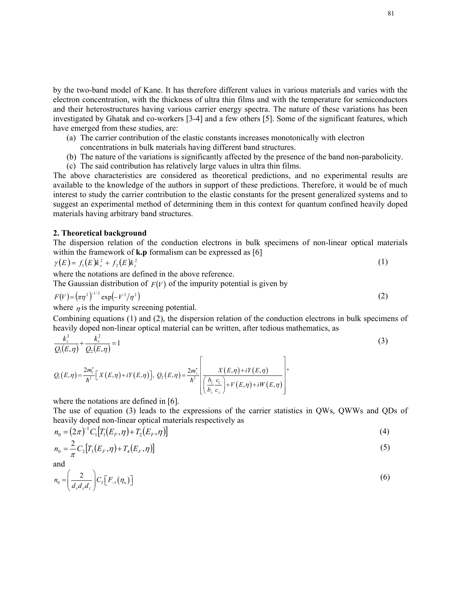by the two-band model of Kane. It has therefore different values in various materials and varies with the electron concentration, with the thickness of ultra thin films and with the temperature for semiconductors and their heterostructures having various carrier energy spectra. The nature of these variations has been investigated by Ghatak and co-workers [3-4] and a few others [5]. Some of the significant features, which have emerged from these studies, are:

- (a) The carrier contribution of the elastic constants increases monotonically with electron
	- concentrations in bulk materials having different band structures.
- (b) The nature of the variations is significantly affected by the presence of the band non-parabolicity.
- (c) The said contribution has relatively large values in ultra thin films.

The above characteristics are considered as theoretical predictions, and no experimental results are available to the knowledge of the authors in support of these predictions. Therefore, it would be of much interest to study the carrier contribution to the elastic constants for the present generalized systems and to suggest an experimental method of determining them in this context for quantum confined heavily doped materials having arbitrary band structures.

#### **2. Theoretical background**

The dispersion relation of the conduction electrons in bulk specimens of non-linear optical materials within the framework of **k.p** formalism can be expressed as [6]

$$
\gamma(E) = f_1(E)k_x^2 + f_2(E)k_z^2 \tag{1}
$$

where the notations are defined in the above reference.

The Gaussian distribution of  $F(V)$  of the impurity potential is given by

$$
F(V) = (\pi \eta^2)^{1/2} \exp(-V^2/\eta^2)
$$
 (2)

where  $n$  is the impurity screening potential.

Combining equations (1) and (2), the dispersion relation of the conduction electrons in bulk specimens of heavily doped non-linear optical material can be written, after tedious mathematics, as

$$
\frac{k_z^2}{Q_1(E,\eta)} + \frac{k_s^2}{Q_2(E,\eta)} = 1\tag{3}
$$

$$
Q_1(E,\eta) = \frac{2m_{\parallel}^*}{\hbar^2} \Big[ X(E,\eta) + iY(E,\eta) \Big], \ Q_2(E,\eta) = \frac{2m_{\perp}^*}{\hbar^2} \left[ \frac{X(E,\eta) + iY(E,\eta)}{\left( \frac{b_{\parallel} \ c_{\parallel}}{b_{\perp} \ c_{\perp}} \right) + V(E,\eta) + iW(E,\eta)} \right],
$$

where the notations are defined in [6].

The use of equation (3) leads to the expressions of the carrier statistics in QWs, QWWs and QDs of heavily doped non-linear optical materials respectively as

$$
n_0 = (2\pi)^{-1} C_1 [T_1(E_F, \eta) + T_2(E_F, \eta)] \tag{4}
$$

$$
n_0 = \frac{2}{\pi} C_2 [T_3(E_F, \eta) + T_4(E_F, \eta)] \tag{5}
$$

and

$$
n_0 = \left(\frac{2}{d_x d_y d_z}\right) C_3 \left[F_{-1}(\eta_n)\right]
$$
\n(6)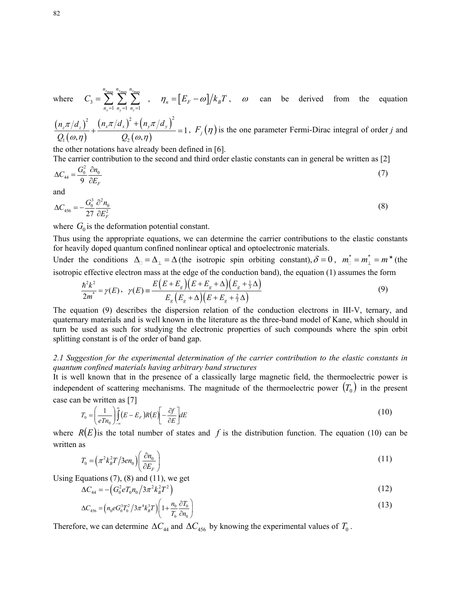where 
$$
C_3 = \sum_{n_x=1}^{n_{x_{\text{max}}}} \sum_{n_y=1}^{n_{y_{\text{max}}}} \sum_{n_z=1}^{n_{z_{\text{max}}}} , \quad \eta_n = [E_F - \omega]/k_B T , \quad \omega \text{ can be derived from the equation}
$$

 $\left(n_z\pi/d_z\right)^2$  $(\omega, \eta)$  $(n_x \pi / d_x)^2 + (n_y \pi / d_y)^2$  $(\omega, \eta)$ 2  $(x - 1)^2$   $(x - 1)^2$  $\mathfrak{L}_1(\omega,\eta)$   $\mathfrak{L}_2$ 1  $(\varphi, \eta)$   $Q_2(\omega, \eta)$  $n_z \pi / d_z$ <sup>2</sup>  $(n_x \pi / d_x)$ <sup>2</sup> +  $(n_y \pi / d_y)$  $Q_{\scriptscriptstyle 1}(\omega,\eta)$  Q  $\pi/d_{\text{c}}^{2}$   $(n_{\text{r}}\pi/d_{\text{r}})^{2} + (n_{\text{r}}\pi)$  $(\omega, \eta)$   $Q_2(\omega, \eta)$  $+\frac{(n_x\pi/d_x)^2+(n_y\pi/d_y)^2}{O(n)}=1$ ,  $F_j(\eta)$  is the one parameter Fermi-Dirac integral of order *j* and

the other notations have already been defined in [6].

The carrier contribution to the second and third order elastic constants can in general be written as [2]

$$
\Delta C_{44} = \frac{G_0^2}{9} \frac{\partial n_0}{\partial E_F} \tag{7}
$$

and

$$
\Delta C_{456} = -\frac{G_0^3}{27} \frac{\partial^2 n_0}{\partial E_F^2}
$$
 (8)

where  $G_0$  is the deformation potential constant.

Thus using the appropriate equations, we can determine the carrier contributions to the elastic constants for heavily doped quantum confined nonlinear optical and optoelectronic materials.

Under the conditions  $\Delta = \Delta_{\perp} = \Delta$  (the isotropic spin orbiting constant),  $\delta = 0$ ,  $m^* = m_{\perp}^* = m^*$  (the isotropic effective electron mass at the edge of the conduction band), the equation (1) assumes the form

$$
\frac{\hbar^2 k^2}{2m^*} = \gamma(E), \quad \gamma(E) = \frac{E(E + E_s)(E + E_s + \Delta)(E_s + \frac{1}{3}\Delta)}{E_s(E_s + \Delta)(E + E_s + \frac{2}{3}\Delta)}\tag{9}
$$

The equation (9) describes the dispersion relation of the conduction electrons in III-V, ternary, and quaternary materials and is well known in the literature as the three-band model of Kane, which should in turn be used as such for studying the electronic properties of such compounds where the spin orbit splitting constant is of the order of band gap.

### *2.1 Suggestion for the experimental determination of the carrier contribution to the elastic constants in quantum confined materials having arbitrary band structures*

It is well known that in the presence of a classically large magnetic field, the thermoelectric power is independent of scattering mechanisms. The magnitude of the thermoelectric power  $(T_0)$  in the present case can be written as [7]

$$
T_0 = \left(\frac{1}{eTn_0}\right) \int_{-\infty}^{\infty} (E - E_F)R(E) \left[-\frac{\partial f}{\partial E}\right] dE
$$
\n(10)

where  $R(E)$  is the total number of states and f is the distribution function. The equation (10) can be written as

$$
T_0 = \left(\pi^2 k_B^2 T / 3en_0\right) \left(\frac{\partial n_0}{\partial E_F}\right) \tag{11}
$$

Using Equations  $(7)$ ,  $(8)$  and  $(11)$ , we get

$$
\Delta C_{44} = -\left(G_0^2 e T_0 n_0 / 3 \pi^2 k_B^2 T^2\right) \tag{12}
$$

$$
\Delta C_{456} = \left( n_0 e G_0^3 T_0^2 / 3 \pi^4 k_B^3 T \right) \left( 1 + \frac{n_0}{T_0} \frac{\partial T_0}{\partial n_0} \right) \tag{13}
$$

Therefore, we can determine  $\Delta C_{44}$  and  $\Delta C_{456}$  by knowing the experimental values of  $T_0$ .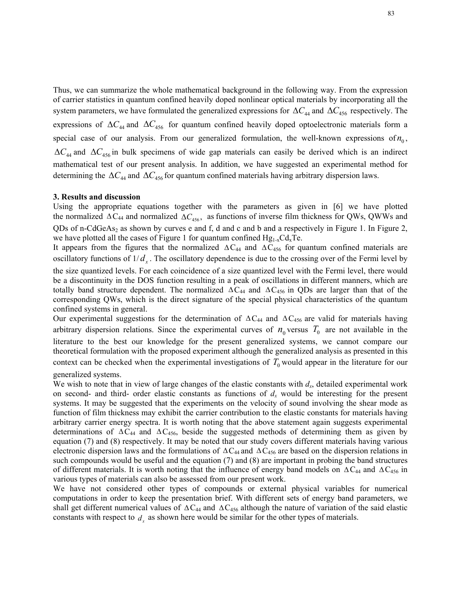Thus, we can summarize the whole mathematical background in the following way. From the expression of carrier statistics in quantum confined heavily doped nonlinear optical materials by incorporating all the system parameters, we have formulated the generalized expressions for  $\Delta C_{44}$  and  $\Delta C_{456}$  respectively. The expressions of  $\Delta C_{44}$  and  $\Delta C_{456}$  for quantum confined heavily doped optoelectronic materials form a special case of our analysis. From our generalized formulation, the well-known expressions of  $n_0$ ,  $\Delta C_{44}$  and  $\Delta C_{456}$  in bulk specimens of wide gap materials can easily be derived which is an indirect mathematical test of our present analysis. In addition, we have suggested an experimental method for determining the  $\Delta C_{44}$  and  $\Delta C_{456}$  for quantum confined materials having arbitrary dispersion laws.

#### **3. Results and discussion**

Using the appropriate equations together with the parameters as given in [6] we have plotted the normalized  $\Delta C_{44}$  and normalized  $\Delta C_{456}$ , as functions of inverse film thickness for QWs, QWWs and QDs of n-CdGeAs<sub>2</sub> as shown by curves e and f, d and c and b and a respectively in Figure 1. In Figure 2, we have plotted all the cases of Figure 1 for quantum confined  $Hg_{1-x}Cd_xTe$ .

It appears from the figures that the normalized  $\Delta C_{44}$  and  $\Delta C_{456}$  for quantum confined materials are oscillatory functions of  $1/d_x$ . The oscillatory dependence is due to the crossing over of the Fermi level by

the size quantized levels. For each coincidence of a size quantized level with the Fermi level, there would be a discontinuity in the DOS function resulting in a peak of oscillations in different manners, which are totally band structure dependent. The normalized  $\Delta C_{44}$  and  $\Delta C_{456}$  in QDs are larger than that of the corresponding QWs, which is the direct signature of the special physical characteristics of the quantum confined systems in general.

Our experimental suggestions for the determination of  $\Delta C_{44}$  and  $\Delta C_{456}$  are valid for materials having arbitrary dispersion relations. Since the experimental curves of  $n_0$  versus  $T_0$  are not available in the literature to the best our knowledge for the present generalized systems, we cannot compare our theoretical formulation with the proposed experiment although the generalized analysis as presented in this context can be checked when the experimental investigations of  $T_0$  would appear in the literature for our generalized systems.

We wish to note that in view of large changes of the elastic constants with *dx*, detailed experimental work on second- and third- order elastic constants as functions of  $d<sub>x</sub>$  would be interesting for the present systems. It may be suggested that the experiments on the velocity of sound involving the shear mode as function of film thickness may exhibit the carrier contribution to the elastic constants for materials having arbitrary carrier energy spectra. It is worth noting that the above statement again suggests experimental determinations of  $\Delta C_{44}$  and  $\Delta C_{456}$ , beside the suggested methods of determining them as given by equation (7) and (8) respectively. It may be noted that our study covers different materials having various electronic dispersion laws and the formulations of  $\Delta C_{44}$  and  $\Delta C_{456}$  are based on the dispersion relations in such compounds would be useful and the equation (7) and (8) are important in probing the band structures of different materials. It is worth noting that the influence of energy band models on  $\Delta C_{44}$  and  $\Delta C_{456}$  in various types of materials can also be assessed from our present work.

We have not considered other types of compounds or external physical variables for numerical computations in order to keep the presentation brief. With different sets of energy band parameters, we shall get different numerical values of  $\Delta C_{44}$  and  $\Delta C_{456}$  although the nature of variation of the said elastic constants with respect to  $d_x$  as shown here would be similar for the other types of materials.